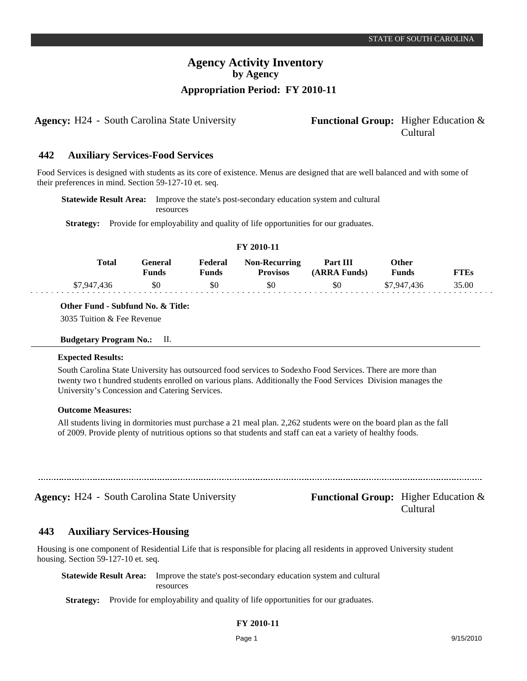**Agency:** H24 - South Carolina State University **Functional Group:** Higher Education &

# Cultural

#### **Auxiliary Services-Food Services 442**

Food Services is designed with students as its core of existence. Menus are designed that are well balanced and with some of their preferences in mind. Section 59-127-10 et. seq.

**Statewide Result Area:** Improve the state's post-secondary education system and cultural resources

**Strategy:** Provide for employability and quality of life opportunities for our graduates.

| FY 2010-11  |                         |                  |                                         |                          |                       |             |  |  |
|-------------|-------------------------|------------------|-----------------------------------------|--------------------------|-----------------------|-------------|--|--|
| Total       | General<br><b>Funds</b> | Federal<br>Funds | <b>Non-Recurring</b><br><b>Provisos</b> | Part III<br>(ARRA Funds) | Other<br><b>Funds</b> | <b>FTEs</b> |  |  |
| \$7,947,436 | \$0                     | \$0              | \$0                                     | \$0                      | \$7,947,436           | 35.00       |  |  |

**Other Fund - Subfund No. & Title:**

3035 Tuition & Fee Revenue

| <b>Budgetary Program No.:</b> |  | П. |
|-------------------------------|--|----|
|                               |  |    |

#### **Expected Results:**

South Carolina State University has outsourced food services to Sodexho Food Services. There are more than twenty two t hundred students enrolled on various plans. Additionally the Food Services Division manages the University's Concession and Catering Services.

#### **Outcome Measures:**

All students living in dormitories must purchase a 21 meal plan. 2,262 students were on the board plan as the fall of 2009. Provide plenty of nutritious options so that students and staff can eat a variety of healthy foods.

**Agency:** H24 - South Carolina State University **Functional Group:** Higher Education &

Cultural

#### **Auxiliary Services-Housing 443**

Housing is one component of Residential Life that is responsible for placing all residents in approved University student housing. Section 59-127-10 et. seq.

**Statewide Result Area:** Improve the state's post-secondary education system and cultural resources

**Strategy:** Provide for employability and quality of life opportunities for our graduates.

## **FY 2010-11**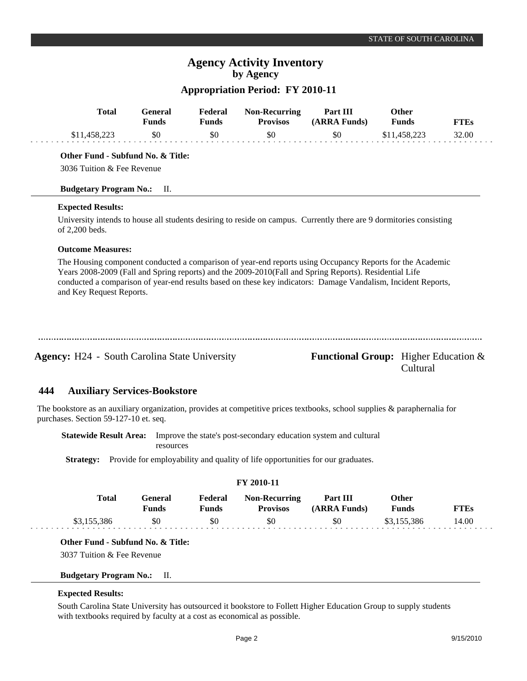## **Appropriation Period: FY 2010-11**

|     | <b>Total</b>                                                                                                                                                                                                                                                                                                                                                     | <b>General</b><br><b>Funds</b> | Federal<br><b>Funds</b> | <b>Non-Recurring</b><br><b>Provisos</b>                          | Part III<br>(ARRA Funds)                       | Other<br><b>Funds</b> |              | <b>FTEs</b> |
|-----|------------------------------------------------------------------------------------------------------------------------------------------------------------------------------------------------------------------------------------------------------------------------------------------------------------------------------------------------------------------|--------------------------------|-------------------------|------------------------------------------------------------------|------------------------------------------------|-----------------------|--------------|-------------|
|     | \$11,458,223                                                                                                                                                                                                                                                                                                                                                     | \$0                            | \$0                     | \$0                                                              | \$0                                            |                       | \$11,458,223 | 32.00       |
|     | Other Fund - Subfund No. & Title:<br>3036 Tuition & Fee Revenue                                                                                                                                                                                                                                                                                                  |                                |                         |                                                                  |                                                |                       |              |             |
|     | <b>Budgetary Program No.:</b>                                                                                                                                                                                                                                                                                                                                    | П.                             |                         |                                                                  |                                                |                       |              |             |
|     | <b>Expected Results:</b>                                                                                                                                                                                                                                                                                                                                         |                                |                         |                                                                  |                                                |                       |              |             |
|     | University intends to house all students desiring to reside on campus. Currently there are 9 dormitories consisting<br>of 2,200 beds.                                                                                                                                                                                                                            |                                |                         |                                                                  |                                                |                       |              |             |
|     | <b>Outcome Measures:</b>                                                                                                                                                                                                                                                                                                                                         |                                |                         |                                                                  |                                                |                       |              |             |
|     | The Housing component conducted a comparison of year-end reports using Occupancy Reports for the Academic<br>Years 2008-2009 (Fall and Spring reports) and the 2009-2010(Fall and Spring Reports). Residential Life<br>conducted a comparison of year-end results based on these key indicators: Damage Vandalism, Incident Reports,<br>and Key Request Reports. |                                |                         |                                                                  |                                                |                       |              |             |
|     | <b>Agency:</b> H24 - South Carolina State University                                                                                                                                                                                                                                                                                                             |                                |                         |                                                                  | <b>Functional Group:</b> Higher Education $\&$ |                       | Cultural     |             |
| 444 | <b>Auxiliary Services-Bookstore</b>                                                                                                                                                                                                                                                                                                                              |                                |                         |                                                                  |                                                |                       |              |             |
|     | The bookstore as an auxiliary organization, provides at competitive prices textbooks, school supplies $\&$ paraphernalia for<br>purchases. Section 59-127-10 et. seq.                                                                                                                                                                                            |                                |                         |                                                                  |                                                |                       |              |             |
|     | <b>Statewide Result Area:</b>                                                                                                                                                                                                                                                                                                                                    | resources                      |                         | Improve the state's post-secondary education system and cultural |                                                |                       |              |             |

Strategy: Provide for employability and quality of life opportunities for our graduates.

| <b>FY 2010-11</b> |                         |                  |                                         |                          |                       |             |  |  |  |
|-------------------|-------------------------|------------------|-----------------------------------------|--------------------------|-----------------------|-------------|--|--|--|
| Total             | General<br><b>Funds</b> | Federal<br>Funds | <b>Non-Recurring</b><br><b>Provisos</b> | Part III<br>(ARRA Funds) | Other<br><b>Funds</b> | <b>FTEs</b> |  |  |  |
| \$3,155,386       | \$0                     | \$0              | \$0                                     | \$0                      | \$3.155.386           | 14.00       |  |  |  |

### **Other Fund - Subfund No. & Title:**

3037 Tuition & Fee Revenue

#### **Budgetary Program No.:** II.

#### **Expected Results:**

South Carolina State University has outsourced it bookstore to Follett Higher Education Group to supply students with textbooks required by faculty at a cost as economical as possible.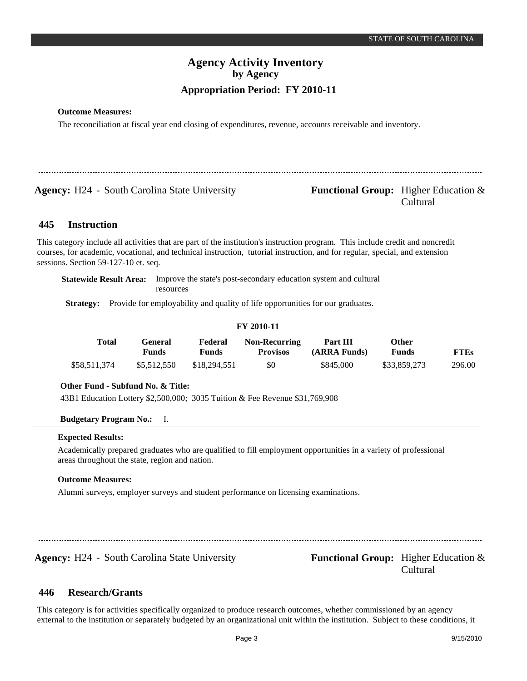## **Outcome Measures:**

The reconciliation at fiscal year end closing of expenditures, revenue, accounts receivable and inventory.

**Agency:** H24 - South Carolina State University **Functional Group:** Higher Education &

# Cultural

#### **Instruction 445**

This category include all activities that are part of the institution's instruction program. This include credit and noncredit courses, for academic, vocational, and technical instruction, tutorial instruction, and for regular, special, and extension sessions. Section 59-127-10 et. seq.

**Statewide Result Area:** Improve the state's post-secondary education system and cultural resources

**Strategy:** Provide for employability and quality of life opportunities for our graduates.

#### **FY 2010-11**

| Total        | General<br>Funds | Federal<br>Funds | <b>Non-Recurring</b><br><b>Provisos</b> | Part III<br>(ARRA Funds) | Other<br>Funds | <b>FTEs</b> |
|--------------|------------------|------------------|-----------------------------------------|--------------------------|----------------|-------------|
| \$58,511,374 | \$5,512,550      | \$18,294,551     | \$0                                     | \$845,000                | \$33,859,273   | 296.00      |

## **Other Fund - Subfund No. & Title:**

43B1 Education Lottery \$2,500,000; 3035 Tuition & Fee Revenue \$31,769,908

#### **Budgetary Program No.:** I.

#### **Expected Results:**

Academically prepared graduates who are qualified to fill employment opportunities in a variety of professional areas throughout the state, region and nation.

#### **Outcome Measures:**

Alumni surveys, employer surveys and student performance on licensing examinations.

**Agency:** H24 - South Carolina State University **Functional Group:** Higher Education &

Cultural

#### **Research/Grants 446**

This category is for activities specifically organized to produce research outcomes, whether commissioned by an agency external to the institution or separately budgeted by an organizational unit within the institution. Subject to these conditions, it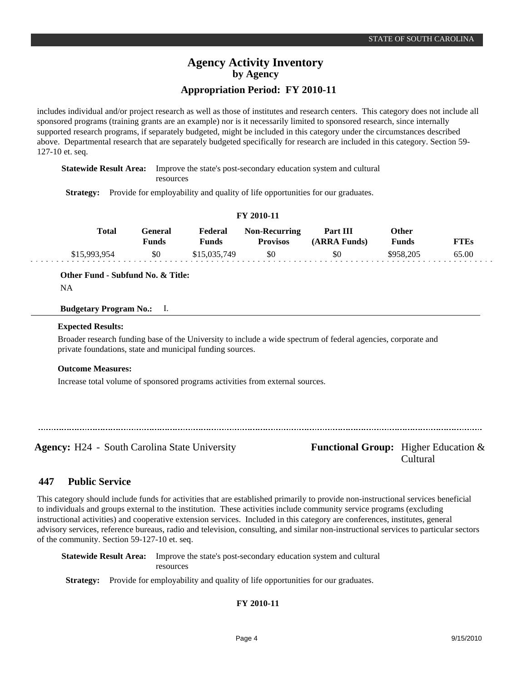includes individual and/or project research as well as those of institutes and research centers. This category does not include all sponsored programs (training grants are an example) nor is it necessarily limited to sponsored research, since internally supported research programs, if separately budgeted, might be included in this category under the circumstances described above. Departmental research that are separately budgeted specifically for research are included in this category. Section 59-

127-10 et. seq. **Statewide Result Area:** Improve the state's post-secondary education system and cultural

resources

**Strategy:** Provide for employability and quality of life opportunities for our graduates.

#### **FY 2010-11**

| Total        | General<br><b>Funds</b> | Federal<br>Funds | <b>Non-Recurring</b><br><b>Provisos</b> | Part III<br>(ARRA Funds) | Other<br>Funds | FTEs  |
|--------------|-------------------------|------------------|-----------------------------------------|--------------------------|----------------|-------|
| \$15,993,954 | \$0                     | \$15,035,749     | \$0                                     | \$0                      | \$958,205      | 65.00 |

**Other Fund - Subfund No. & Title:**

```
NA
```
## **Budgetary Program No.:** I.

#### **Expected Results:**

Broader research funding base of the University to include a wide spectrum of federal agencies, corporate and private foundations, state and municipal funding sources.

#### **Outcome Measures:**

Increase total volume of sponsored programs activities from external sources.

Agency: H24 - South Carolina State University **Functional Group:** Higher Education &

Cultural

#### **Public Service 447**

This category should include funds for activities that are established primarily to provide non-instructional services beneficial to individuals and groups external to the institution. These activities include community service programs (excluding instructional activities) and cooperative extension services. Included in this category are conferences, institutes, general advisory services, reference bureaus, radio and television, consulting, and similar non-instructional services to particular sectors of the community. Section 59-127-10 et. seq.

**Statewide Result Area:** Improve the state's post-secondary education system and cultural resources

**Strategy:** Provide for employability and quality of life opportunities for our graduates.

## **FY 2010-11**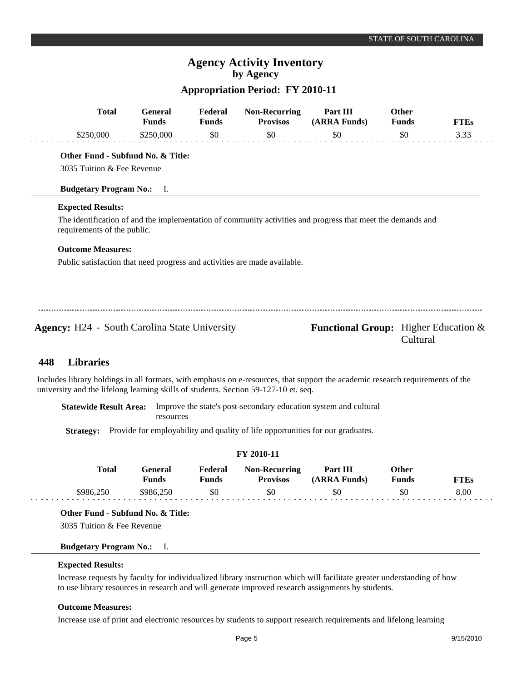## **Appropriation Period: FY 2010-11**

|     | <b>Total</b>                                                              | <b>General</b><br><b>Funds</b> | Federal<br><b>Funds</b> | <b>Non-Recurring</b><br><b>Provisos</b> | Part III<br>(ARRA Funds)                                                                                    | <b>Other</b><br><b>Funds</b> | <b>FTEs</b> |
|-----|---------------------------------------------------------------------------|--------------------------------|-------------------------|-----------------------------------------|-------------------------------------------------------------------------------------------------------------|------------------------------|-------------|
|     | \$250,000                                                                 | \$250,000                      | \$0                     | \$0                                     | \$0                                                                                                         | \$0                          | 3.33        |
|     | Other Fund - Subfund No. & Title:                                         |                                |                         |                                         |                                                                                                             |                              |             |
|     | 3035 Tuition & Fee Revenue                                                |                                |                         |                                         |                                                                                                             |                              |             |
|     | <b>Budgetary Program No.:</b> I.                                          |                                |                         |                                         |                                                                                                             |                              |             |
|     | <b>Expected Results:</b>                                                  |                                |                         |                                         |                                                                                                             |                              |             |
|     | requirements of the public.                                               |                                |                         |                                         | The identification of and the implementation of community activities and progress that meet the demands and |                              |             |
|     | <b>Outcome Measures:</b>                                                  |                                |                         |                                         |                                                                                                             |                              |             |
|     | Public satisfaction that need progress and activities are made available. |                                |                         |                                         |                                                                                                             |                              |             |
|     |                                                                           |                                |                         |                                         |                                                                                                             |                              |             |
|     |                                                                           |                                |                         |                                         |                                                                                                             |                              |             |
|     |                                                                           |                                |                         |                                         |                                                                                                             |                              |             |
|     | <b>Agency:</b> H24 - South Carolina State University                      |                                |                         |                                         | <b>Functional Group:</b> Higher Education $\&$                                                              | Cultural                     |             |
| 448 | <b>Libraries</b>                                                          |                                |                         |                                         |                                                                                                             |                              |             |

Includes library holdings in all formats, with emphasis on e-resources, that support the academic research requirements of the university and the lifelong learning skills of students. Section 59-127-10 et. seq.

**Statewide Result Area:** Improve the state's post-secondary education system and cultural resources

**Strategy:** Provide for employability and quality of life opportunities for our graduates.

| <b>FY 2010-11</b> |                  |                  |                                         |                          |                |             |  |  |
|-------------------|------------------|------------------|-----------------------------------------|--------------------------|----------------|-------------|--|--|
| Total             | General<br>Funds | Federal<br>Funds | <b>Non-Recurring</b><br><b>Provisos</b> | Part III<br>(ARRA Funds) | Other<br>Funds | <b>FTEs</b> |  |  |
| \$986,250         | \$986,250        | \$0              | \$0                                     | \$0                      | \$0            | 8.00        |  |  |

**Other Fund - Subfund No. & Title:**

3035 Tuition & Fee Revenue

#### **Budgetary Program No.:** I.

#### **Expected Results:**

Increase requests by faculty for individualized library instruction which will facilitate greater understanding of how to use library resources in research and will generate improved research assignments by students.

## **Outcome Measures:**

Increase use of print and electronic resources by students to support research requirements and lifelong learning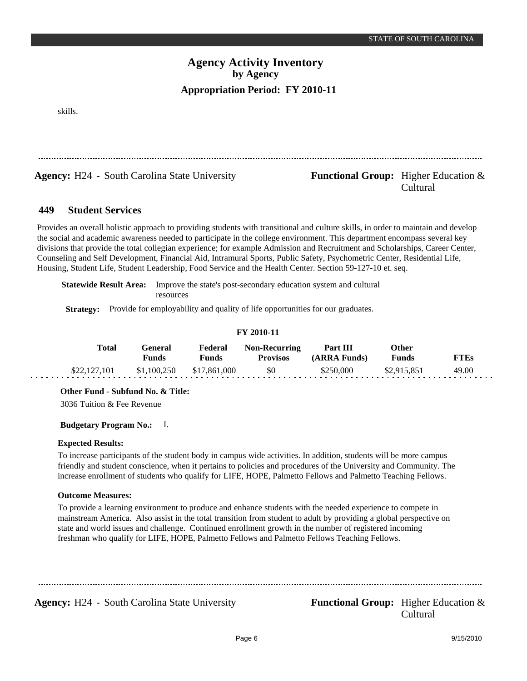skills.

**Agency:** H24 - South Carolina State University **Functional Group:** Higher Education &

# Cultural

#### **Student Services 449**

Provides an overall holistic approach to providing students with transitional and culture skills, in order to maintain and develop the social and academic awareness needed to participate in the college environment. This department encompass several key divisions that provide the total collegian experience; for example Admission and Recruitment and Scholarships, Career Center, Counseling and Self Development, Financial Aid, Intramural Sports, Public Safety, Psychometric Center, Residential Life, Housing, Student Life, Student Leadership, Food Service and the Health Center. Section 59-127-10 et. seq.

**Statewide Result Area:** Improve the state's post-secondary education system and cultural resources

**Strategy:** Provide for employability and quality of life opportunities for our graduates.

|              |                  |                         | FY 2010-11                              | Other<br>Part III<br>(ARRA Funds)<br>Funds |             |             |  |
|--------------|------------------|-------------------------|-----------------------------------------|--------------------------------------------|-------------|-------------|--|
| Total        | General<br>Funds | Federal<br><b>Funds</b> | <b>Non-Recurring</b><br><b>Provisos</b> |                                            |             | <b>FTEs</b> |  |
| \$22,127,101 | \$1,100,250      | \$17,861,000            | \$0                                     | \$250,000                                  | \$2,915,851 | 49.00       |  |

**Other Fund - Subfund No. & Title:**

3036 Tuition & Fee Revenue

### **Budgetary Program No.:** I.

#### **Expected Results:**

To increase participants of the student body in campus wide activities. In addition, students will be more campus friendly and student conscience, when it pertains to policies and procedures of the University and Community. The increase enrollment of students who qualify for LIFE, HOPE, Palmetto Fellows and Palmetto Teaching Fellows.

#### **Outcome Measures:**

To provide a learning environment to produce and enhance students with the needed experience to compete in mainstream America. Also assist in the total transition from student to adult by providing a global perspective on state and world issues and challenge. Continued enrollment growth in the number of registered incoming freshman who qualify for LIFE, HOPE, Palmetto Fellows and Palmetto Fellows Teaching Fellows.

**Agency:** H24 - South Carolina State University **Functional Group:** Higher Education &

Cultural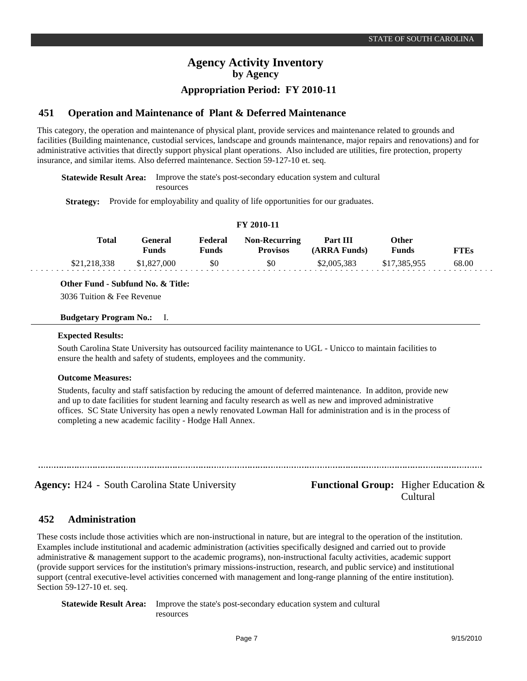## **Appropriation Period: FY 2010-11**

#### **Operation and Maintenance of Plant & Deferred Maintenance 451**

This category, the operation and maintenance of physical plant, provide services and maintenance related to grounds and facilities (Building maintenance, custodial services, landscape and grounds maintenance, major repairs and renovations) and for administrative activities that directly support physical plant operations. Also included are utilities, fire protection, property insurance, and similar items. Also deferred maintenance. Section 59-127-10 et. seq.

**FY 2010-11**

**Statewide Result Area:** Improve the state's post-secondary education system and cultural resources

**Strategy:** Provide for employability and quality of life opportunities for our graduates.

| Total        | General<br><b>Funds</b> | Federal<br>Funds | <b>Non-Recurring</b><br><b>Provisos</b> | Part III<br>(ARRA Funds) | Other<br><b>Funds</b> | <b>FTEs</b> |  |
|--------------|-------------------------|------------------|-----------------------------------------|--------------------------|-----------------------|-------------|--|
| \$21,218,338 | \$1,827,000             | \$0              | SO.                                     | \$2,005,383              | \$17.385.955          | 68.00       |  |

**Other Fund - Subfund No. & Title:**

3036 Tuition & Fee Revenue

#### **Budgetary Program No.:** I.

#### **Expected Results:**

. . . .

South Carolina State University has outsourced facility maintenance to UGL - Unicco to maintain facilities to ensure the health and safety of students, employees and the community.

#### **Outcome Measures:**

Students, faculty and staff satisfaction by reducing the amount of deferred maintenance. In additon, provide new and up to date facilities for student learning and faculty research as well as new and improved administrative offices. SC State University has open a newly renovated Lowman Hall for administration and is in the process of completing a new academic facility - Hodge Hall Annex.

Agency: H24 - South Carolina State University **Functional Group:** Higher Education & Cultural

#### **Administration 452**

These costs include those activities which are non-instructional in nature, but are integral to the operation of the institution. Examples include institutional and academic administration (activities specifically designed and carried out to provide administrative & management support to the academic programs), non-instructional faculty activities, academic support (provide support services for the institution's primary missions-instruction, research, and public service) and institutional support (central executive-level activities concerned with management and long-range planning of the entire institution). Section 59-127-10 et. seq.

**Statewide Result Area:** Improve the state's post-secondary education system and cultural resources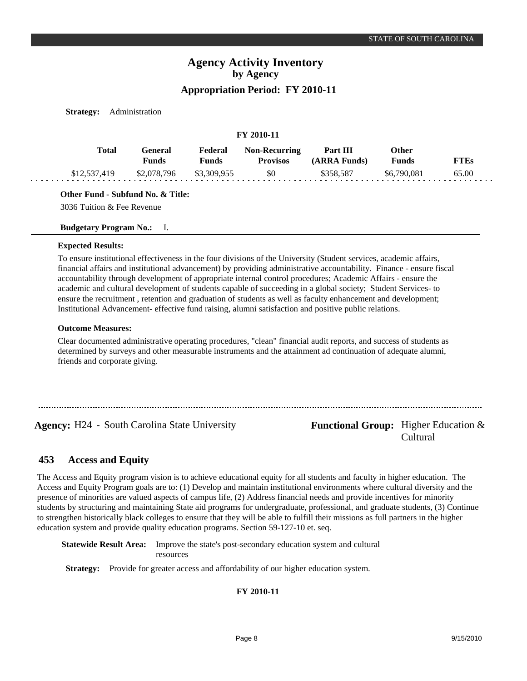**Strategy:** Administration

| FY 2010-11   |                         |                         |                                  |                          |                       |             |  |  |
|--------------|-------------------------|-------------------------|----------------------------------|--------------------------|-----------------------|-------------|--|--|
| Total        | General<br><b>Funds</b> | Federal<br><b>Funds</b> | Non-Recurring<br><b>Provisos</b> | Part III<br>(ARRA Funds) | Other<br><b>Funds</b> | <b>FTEs</b> |  |  |
| \$12,537,419 | \$2,078,796             | \$3,309,955             | \$0                              | \$358.587                | \$6,790,081           | 65.00       |  |  |

**Other Fund - Subfund No. & Title:**

3036 Tuition & Fee Revenue

**Budgetary Program No.:** I.

#### **Expected Results:**

To ensure institutional effectiveness in the four divisions of the University (Student services, academic affairs, financial affairs and institutional advancement) by providing administrative accountability. Finance - ensure fiscal accountability through development of appropriate internal control procedures; Academic Affairs - ensure the academic and cultural development of students capable of succeeding in a global society; Student Services- to ensure the recruitment , retention and graduation of students as well as faculty enhancement and development; Institutional Advancement- effective fund raising, alumni satisfaction and positive public relations.

#### **Outcome Measures:**

Clear documented administrative operating procedures, "clean" financial audit reports, and success of students as determined by surveys and other measurable instruments and the attainment ad continuation of adequate alumni, friends and corporate giving.

**Agency:** H24 - South Carolina State University **Functional Group:** Higher Education &

Cultural

#### **Access and Equity 453**

The Access and Equity program vision is to achieve educational equity for all students and faculty in higher education. The Access and Equity Program goals are to: (1) Develop and maintain institutional environments where cultural diversity and the presence of minorities are valued aspects of campus life, (2) Address financial needs and provide incentives for minority students by structuring and maintaining State aid programs for undergraduate, professional, and graduate students, (3) Continue to strengthen historically black colleges to ensure that they will be able to fulfill their missions as full partners in the higher education system and provide quality education programs. Section 59-127-10 et. seq.

**Statewide Result Area:** Improve the state's post-secondary education system and cultural resources

**Strategy:** Provide for greater access and affordability of our higher education system.

**FY 2010-11**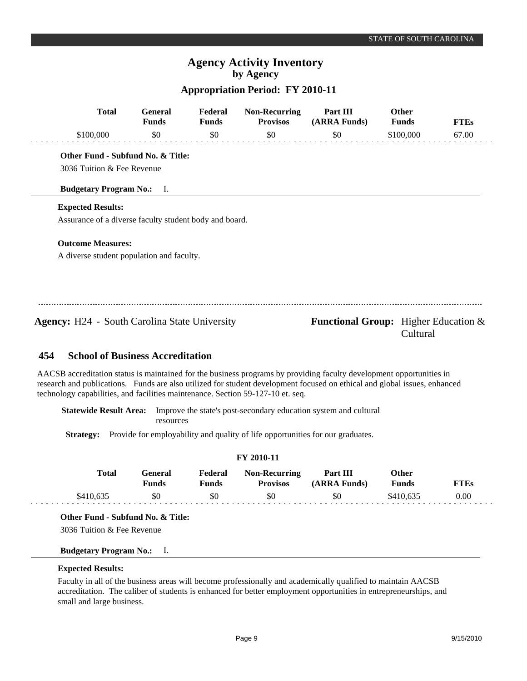## **Appropriation Period: FY 2010-11**

|     | <b>Total</b>                                           | <b>General</b><br><b>Funds</b> | Federal<br><b>Funds</b> | <b>Non-Recurring</b><br><b>Provisos</b> | Part III<br>(ARRA Funds)                       | <b>Other</b><br><b>Funds</b> | <b>FTEs</b> |
|-----|--------------------------------------------------------|--------------------------------|-------------------------|-----------------------------------------|------------------------------------------------|------------------------------|-------------|
|     | \$100,000                                              | \$0                            | \$0                     | \$0                                     | \$0                                            | \$100,000                    | 67.00       |
|     | Other Fund - Subfund No. & Title:                      |                                |                         |                                         |                                                |                              |             |
|     | 3036 Tuition & Fee Revenue                             |                                |                         |                                         |                                                |                              |             |
|     | <b>Budgetary Program No.:</b> I.                       |                                |                         |                                         |                                                |                              |             |
|     | <b>Expected Results:</b>                               |                                |                         |                                         |                                                |                              |             |
|     | Assurance of a diverse faculty student body and board. |                                |                         |                                         |                                                |                              |             |
|     | <b>Outcome Measures:</b>                               |                                |                         |                                         |                                                |                              |             |
|     | A diverse student population and faculty.              |                                |                         |                                         |                                                |                              |             |
|     |                                                        |                                |                         |                                         |                                                |                              |             |
|     |                                                        |                                |                         |                                         |                                                |                              |             |
|     | <b>Agency:</b> H24 - South Carolina State University   |                                |                         |                                         | <b>Functional Group:</b> Higher Education $\&$ | Cultural                     |             |
| 454 | <b>School of Business Accreditation</b>                |                                |                         |                                         |                                                |                              |             |

#### **School of Business Accreditation 454**

AACSB accreditation status is maintained for the business programs by providing faculty development opportunities in research and publications. Funds are also utilized for student development focused on ethical and global issues, enhanced technology capabilities, and facilities maintenance. Section 59-127-10 et. seq.

**Statewide Result Area:** Improve the state's post-secondary education system and cultural resources

Strategy: Provide for employability and quality of life opportunities for our graduates.

#### **FY 2010-11**

| <b>Total</b> | General)<br><b>Funds</b> | Federal<br>${\bf v}$ unds | <b>Non-Recurring</b><br><b>Provisos</b> | Part III<br>(ARRA Funds) | Other<br><b>Funds</b> | <b>TTEs</b> |
|--------------|--------------------------|---------------------------|-----------------------------------------|--------------------------|-----------------------|-------------|
| 3410.63'     | \$0                      | \$0                       | \$0                                     | \$0                      | \$410.635             | $0.00\,$    |

**Other Fund - Subfund No. & Title:**

3036 Tuition & Fee Revenue

#### **Budgetary Program No.:** I.

#### **Expected Results:**

Faculty in all of the business areas will become professionally and academically qualified to maintain AACSB accreditation. The caliber of students is enhanced for better employment opportunities in entrepreneurships, and small and large business.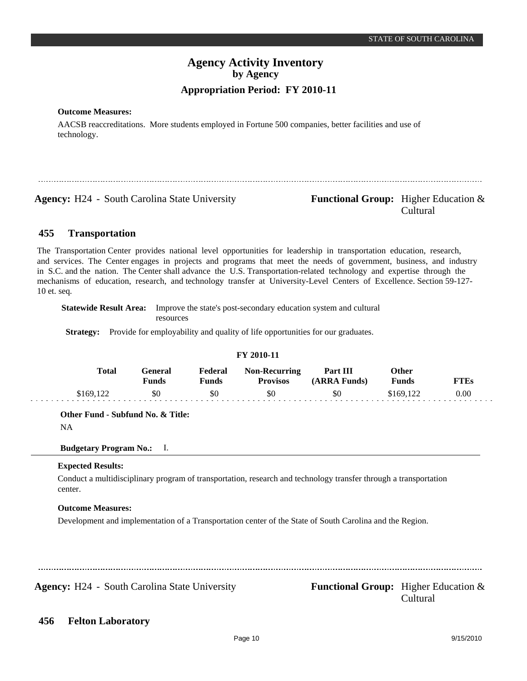## **Outcome Measures:**

AACSB reaccreditations. More students employed in Fortune 500 companies, better facilities and use of technology.

**Agency:** H24 - South Carolina State University **Functional Group:** Higher Education &

Cultural

#### **Transportation 455**

The Transportation Center provides national level opportunities for leadership in transportation education, research, and services. The Center engages in projects and programs that meet the needs of government, business, and industry in S.C. and the nation. The Center shall advance the U.S. Transportation-related technology and expertise through the mechanisms of education, research, and technology transfer at University-Level Centers of Excellence. Section 59-127- 10 et. seq.

**Statewide Result Area:** Improve the state's post-secondary education system and cultural resources

**Strategy:** Provide for employability and quality of life opportunities for our graduates.

| T I 2010-11 |           |                  |                         |                                         |                          |                              |             |
|-------------|-----------|------------------|-------------------------|-----------------------------------------|--------------------------|------------------------------|-------------|
|             | Total     | General<br>Funds | Federal<br><b>Funds</b> | <b>Non-Recurring</b><br><b>Provisos</b> | Part III<br>(ARRA Funds) | <b>Other</b><br><b>Funds</b> | <b>FTEs</b> |
|             | \$169.122 | \$0              | \$0                     | \$0                                     | \$0                      | \$169.122                    | 0.00        |

**FY 2010-11**

**Other Fund - Subfund No. & Title:**

NA

#### **Budgetary Program No.:** I.

#### **Expected Results:**

Conduct a multidisciplinary program of transportation, research and technology transfer through a transportation center.

#### **Outcome Measures:**

Development and implementation of a Transportation center of the State of South Carolina and the Region.

......................................

Agency: H24 - South Carolina State University Functional Group: Higher Education &

Cultural

#### **Felton Laboratory 456**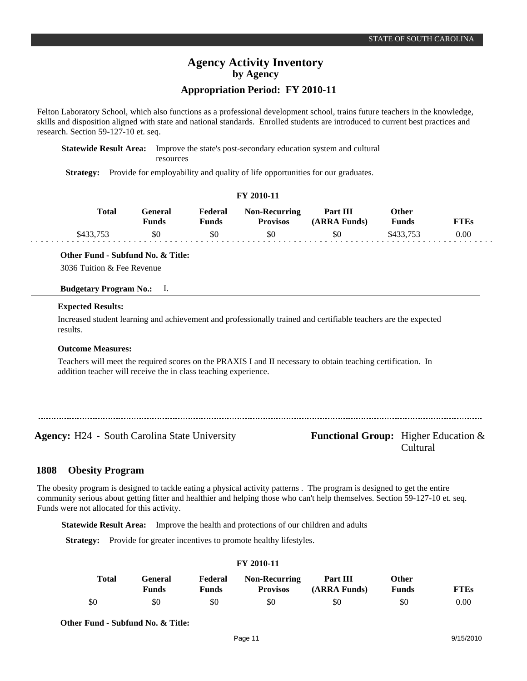## **Appropriation Period: FY 2010-11**

Felton Laboratory School, which also functions as a professional development school, trains future teachers in the knowledge, skills and disposition aligned with state and national standards. Enrolled students are introduced to current best practices and research. Section 59-127-10 et. seq.

**FY 2010-11**

**Statewide Result Area:** Improve the state's post-secondary education system and cultural resources

**Strategy:** Provide for employability and quality of life opportunities for our graduates.

| F I 2010-11  |                  |                  |                                         |                          |                              |             |  |  |
|--------------|------------------|------------------|-----------------------------------------|--------------------------|------------------------------|-------------|--|--|
| <b>Total</b> | General<br>Funds | Federal<br>Funds | <b>Non-Recurring</b><br><b>Provisos</b> | Part III<br>(ARRA Funds) | <b>Other</b><br><b>Funds</b> | <b>FTEs</b> |  |  |
| \$433,753    | \$0              | \$0              | \$0                                     | \$0                      | \$433.753                    | 0.00        |  |  |

### **Other Fund - Subfund No. & Title:**

3036 Tuition & Fee Revenue

#### **Budgetary Program No.:** I.

#### **Expected Results:**

Increased student learning and achievement and professionally trained and certifiable teachers are the expected results.

#### **Outcome Measures:**

Teachers will meet the required scores on the PRAXIS I and II necessary to obtain teaching certification. In addition teacher will receive the in class teaching experience.

**Agency:** H24 - South Carolina State University **Functional Group:** Higher Education &

# Cultural

#### **Obesity Program 1808**

The obesity program is designed to tackle eating a physical activity patterns . The program is designed to get the entire community serious about getting fitter and healthier and helping those who can't help themselves. Section 59-127-10 et. seq. Funds were not allocated for this activity.

**Statewide Result Area:** Improve the health and protections of our children and adults

**Strategy:** Provide for greater incentives to promote healthy lifestyles.

| Total | ÷eneral<br><b>Funds</b> | Federal<br>$F$ unds | <b>Non-Recurring</b><br><b>Provisos</b> | Part III<br><b>(ARRA Funds)</b> | Other<br><b>Funds</b> | $T^{\prime}TRs$ |
|-------|-------------------------|---------------------|-----------------------------------------|---------------------------------|-----------------------|-----------------|
| υC    | SC                      | \$0                 | \$0                                     | .5O                             | УG                    | $0.00\,$        |

**FY 2010-11**

**Other Fund - Subfund No. & Title:**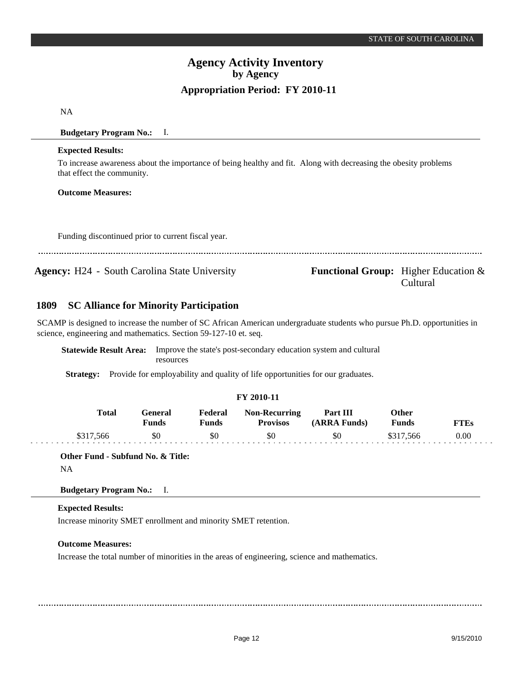Cultural

# **Agency Activity Inventory by Agency Appropriation Period: FY 2010-11**

NA

**Budgetary Program No.:** I.

### **Expected Results:**

To increase awareness about the importance of being healthy and fit. Along with decreasing the obesity problems that effect the community.

## **Outcome Measures:**

Funding discontinued prior to current fiscal year.

**Agency:** H24 - South Carolina State University **Functional Group:** Higher Education &

#### **SC Alliance for Minority Participation 1809**

SCAMP is designed to increase the number of SC African American undergraduate students who pursue Ph.D. opportunities in science, engineering and mathematics. Section 59-127-10 et. seq.

**Statewide Result Area:** Improve the state's post-secondary education system and cultural resources

**Strategy:** Provide for employability and quality of life opportunities for our graduates.

## **FY 2010-11**

| Total     | General<br>Funds | Federal<br><b>Funds</b> | <b>Non-Recurring</b><br><b>Provisos</b> | Part III<br>(ARRA Funds) | Other<br><b>Funds</b> | FTEs |
|-----------|------------------|-------------------------|-----------------------------------------|--------------------------|-----------------------|------|
| \$317.566 |                  | \$0                     | \$0                                     | \$0                      | \$317,566             | 0.00 |

**Other Fund - Subfund No. & Title:** NA

**Budgetary Program No.:** I.

## **Expected Results:**

Increase minority SMET enrollment and minority SMET retention.

#### **Outcome Measures:**

Increase the total number of minorities in the areas of engineering, science and mathematics.